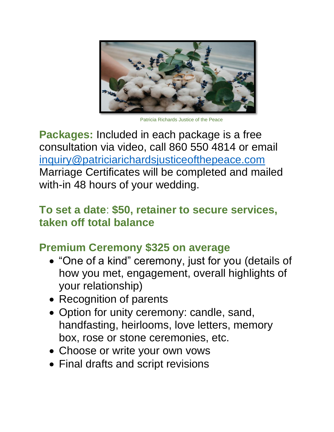

Patricia Richards Justice of the Peace

**Packages:** Included in each package is a free consultation via video, call 860 550 4814 or email [inquiry@patriciarichardsjusticeofthepeace.com](mailto:inquiry@patriciarichardsjusticeofthepeace.com) Marriage Certificates will be completed and mailed with-in 48 hours of your wedding.

### **To set a date**: **\$50, retainer to secure services, taken off total balance**

# **Premium Ceremony \$325 on average**

- "One of a kind" ceremony, just for you (details of how you met, engagement, overall highlights of your relationship)
- Recognition of parents
- Option for unity ceremony: candle, sand, handfasting, heirlooms, love letters, memory box, rose or stone ceremonies, etc.
- Choose or write your own vows
- Final drafts and script revisions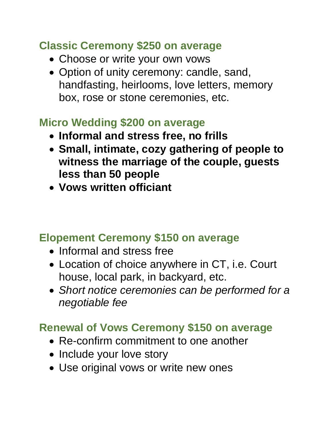## **Classic Ceremony \$250 on average**

- Choose or write your own vows
- Option of unity ceremony: candle, sand, handfasting, heirlooms, love letters, memory box, rose or stone ceremonies, etc.

#### **Micro Wedding \$200 on average**

- **Informal and stress free, no frills**
- **Small, intimate, cozy gathering of people to witness the marriage of the couple, guests less than 50 people**
- **Vows written officiant**

### **Elopement Ceremony \$150 on average**

- Informal and stress free
- Location of choice anywhere in CT, i.e. Court house, local park, in backyard, etc.
- *Short notice ceremonies can be performed for a negotiable fee*

## **Renewal of Vows Ceremony \$150 on average**

- Re-confirm commitment to one another
- Include your love story
- Use original vows or write new ones